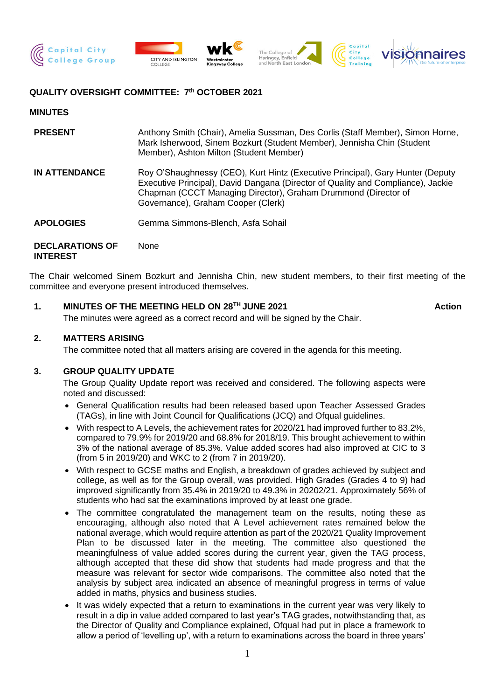

## **QUALITY OVERSIGHT COMMITTEE: 7 th OCTOBER 2021**

#### **MINUTES**

**INTEREST**

| <b>PRESENT</b>         | Anthony Smith (Chair), Amelia Sussman, Des Corlis (Staff Member), Simon Horne,<br>Mark Isherwood, Sinem Bozkurt (Student Member), Jennisha Chin (Student<br>Member), Ashton Milton (Student Member)                                                                        |
|------------------------|----------------------------------------------------------------------------------------------------------------------------------------------------------------------------------------------------------------------------------------------------------------------------|
| <b>IN ATTENDANCE</b>   | Roy O'Shaughnessy (CEO), Kurt Hintz (Executive Principal), Gary Hunter (Deputy<br>Executive Principal), David Dangana (Director of Quality and Compliance), Jackie<br>Chapman (CCCT Managing Director), Graham Drummond (Director of<br>Governance), Graham Cooper (Clerk) |
| <b>APOLOGIES</b>       | Gemma Simmons-Blench, Asfa Sohail                                                                                                                                                                                                                                          |
| <b>DECLARATIONS OF</b> | None                                                                                                                                                                                                                                                                       |

The Chair welcomed Sinem Bozkurt and Jennisha Chin, new student members, to their first meeting of the committee and everyone present introduced themselves.

### **1. MINUTES OF THE MEETING HELD ON 28TH JUNE 2021 Action**

The minutes were agreed as a correct record and will be signed by the Chair.

#### **2. MATTERS ARISING**

The committee noted that all matters arising are covered in the agenda for this meeting.

### **3. GROUP QUALITY UPDATE**

The Group Quality Update report was received and considered. The following aspects were noted and discussed:

- General Qualification results had been released based upon Teacher Assessed Grades (TAGs), in line with Joint Council for Qualifications (JCQ) and Ofqual guidelines.
- With respect to A Levels, the achievement rates for 2020/21 had improved further to 83.2%, compared to 79.9% for 2019/20 and 68.8% for 2018/19. This brought achievement to within 3% of the national average of 85.3%. Value added scores had also improved at CIC to 3 (from 5 in 2019/20) and WKC to 2 (from 7 in 2019/20).
- With respect to GCSE maths and English, a breakdown of grades achieved by subject and college, as well as for the Group overall, was provided. High Grades (Grades 4 to 9) had improved significantly from 35.4% in 2019/20 to 49.3% in 20202/21. Approximately 56% of students who had sat the examinations improved by at least one grade.
- The committee congratulated the management team on the results, noting these as encouraging, although also noted that A Level achievement rates remained below the national average, which would require attention as part of the 2020/21 Quality Improvement Plan to be discussed later in the meeting. The committee also questioned the meaningfulness of value added scores during the current year, given the TAG process, although accepted that these did show that students had made progress and that the measure was relevant for sector wide comparisons. The committee also noted that the analysis by subject area indicated an absence of meaningful progress in terms of value added in maths, physics and business studies.
- It was widely expected that a return to examinations in the current year was very likely to result in a dip in value added compared to last year's TAG grades, notwithstanding that, as the Director of Quality and Compliance explained, Ofqual had put in place a framework to allow a period of 'levelling up', with a return to examinations across the board in three years'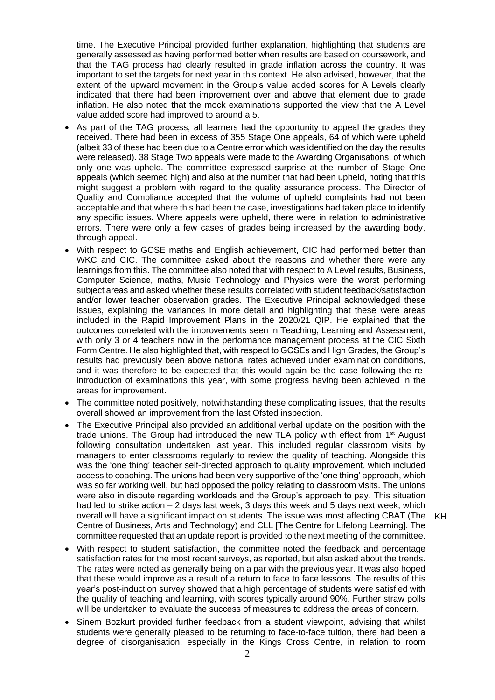time. The Executive Principal provided further explanation, highlighting that students are generally assessed as having performed better when results are based on coursework, and that the TAG process had clearly resulted in grade inflation across the country. It was important to set the targets for next year in this context. He also advised, however, that the extent of the upward movement in the Group's value added scores for A Levels clearly indicated that there had been improvement over and above that element due to grade inflation. He also noted that the mock examinations supported the view that the A Level value added score had improved to around a 5.

- As part of the TAG process, all learners had the opportunity to appeal the grades they received. There had been in excess of 355 Stage One appeals, 64 of which were upheld (albeit 33 of these had been due to a Centre error which was identified on the day the results were released). 38 Stage Two appeals were made to the Awarding Organisations, of which only one was upheld. The committee expressed surprise at the number of Stage One appeals (which seemed high) and also at the number that had been upheld, noting that this might suggest a problem with regard to the quality assurance process. The Director of Quality and Compliance accepted that the volume of upheld complaints had not been acceptable and that where this had been the case, investigations had taken place to identify any specific issues. Where appeals were upheld, there were in relation to administrative errors. There were only a few cases of grades being increased by the awarding body, through appeal.
- With respect to GCSE maths and English achievement, CIC had performed better than WKC and CIC. The committee asked about the reasons and whether there were any learnings from this. The committee also noted that with respect to A Level results, Business, Computer Science, maths, Music Technology and Physics were the worst performing subject areas and asked whether these results correlated with student feedback/satisfaction and/or lower teacher observation grades. The Executive Principal acknowledged these issues, explaining the variances in more detail and highlighting that these were areas included in the Rapid Improvement Plans in the 2020/21 QIP. He explained that the outcomes correlated with the improvements seen in Teaching, Learning and Assessment, with only 3 or 4 teachers now in the performance management process at the CIC Sixth Form Centre. He also highlighted that, with respect to GCSEs and High Grades, the Group's results had previously been above national rates achieved under examination conditions, and it was therefore to be expected that this would again be the case following the reintroduction of examinations this year, with some progress having been achieved in the areas for improvement.
- The committee noted positively, notwithstanding these complicating issues, that the results overall showed an improvement from the last Ofsted inspection.
- The Executive Principal also provided an additional verbal update on the position with the trade unions. The Group had introduced the new TLA policy with effect from 1<sup>st</sup> August following consultation undertaken last year. This included regular classroom visits by managers to enter classrooms regularly to review the quality of teaching. Alongside this was the 'one thing' teacher self-directed approach to quality improvement, which included access to coaching. The unions had been very supportive of the 'one thing' approach, which was so far working well, but had opposed the policy relating to classroom visits. The unions were also in dispute regarding workloads and the Group's approach to pay. This situation had led to strike action – 2 days last week, 3 days this week and 5 days next week, which overall will have a significant impact on students. The issue was most affecting CBAT (The KHCentre of Business, Arts and Technology) and CLL [The Centre for Lifelong Learning]. The committee requested that an update report is provided to the next meeting of the committee.
	-
- With respect to student satisfaction, the committee noted the feedback and percentage satisfaction rates for the most recent surveys, as reported, but also asked about the trends. The rates were noted as generally being on a par with the previous year. It was also hoped that these would improve as a result of a return to face to face lessons. The results of this year's post-induction survey showed that a high percentage of students were satisfied with the quality of teaching and learning, with scores typically around 90%. Further straw polls will be undertaken to evaluate the success of measures to address the areas of concern.
- Sinem Bozkurt provided further feedback from a student viewpoint, advising that whilst students were generally pleased to be returning to face-to-face tuition, there had been a degree of disorganisation, especially in the Kings Cross Centre, in relation to room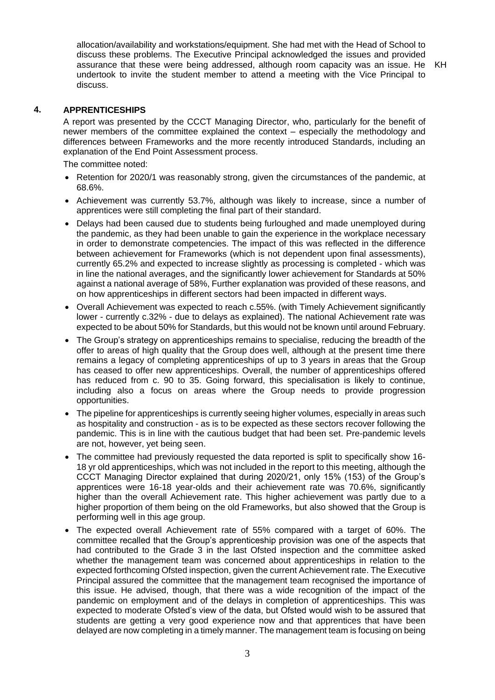allocation/availability and workstations/equipment. She had met with the Head of School to discuss these problems. The Executive Principal acknowledged the issues and provided assurance that these were being addressed, although room capacity was an issue. He undertook to invite the student member to attend a meeting with the Vice Principal to discuss.

#### **4. APPRENTICESHIPS**

A report was presented by the CCCT Managing Director, who, particularly for the benefit of newer members of the committee explained the context – especially the methodology and differences between Frameworks and the more recently introduced Standards, including an explanation of the End Point Assessment process.

The committee noted:

- Retention for 2020/1 was reasonably strong, given the circumstances of the pandemic, at 68.6%.
- Achievement was currently 53.7%, although was likely to increase, since a number of apprentices were still completing the final part of their standard.
- Delays had been caused due to students being furloughed and made unemployed during the pandemic, as they had been unable to gain the experience in the workplace necessary in order to demonstrate competencies. The impact of this was reflected in the difference between achievement for Frameworks (which is not dependent upon final assessments), currently 65.2% and expected to increase slightly as processing is completed - which was in line the national averages, and the significantly lower achievement for Standards at 50% against a national average of 58%, Further explanation was provided of these reasons, and on how apprenticeships in different sectors had been impacted in different ways.
- Overall Achievement was expected to reach c.55%. (with Timely Achievement significantly lower - currently c.32% - due to delays as explained). The national Achievement rate was expected to be about 50% for Standards, but this would not be known until around February.
- The Group's strategy on apprenticeships remains to specialise, reducing the breadth of the offer to areas of high quality that the Group does well, although at the present time there remains a legacy of completing apprenticeships of up to 3 years in areas that the Group has ceased to offer new apprenticeships. Overall, the number of apprenticeships offered has reduced from c. 90 to 35. Going forward, this specialisation is likely to continue, including also a focus on areas where the Group needs to provide progression opportunities.
- The pipeline for apprenticeships is currently seeing higher volumes, especially in areas such as hospitality and construction - as is to be expected as these sectors recover following the pandemic. This is in line with the cautious budget that had been set. Pre-pandemic levels are not, however, yet being seen.
- The committee had previously requested the data reported is split to specifically show 16- 18 yr old apprenticeships, which was not included in the report to this meeting, although the CCCT Managing Director explained that during 2020/21, only 15% (153) of the Group's apprentices were 16-18 year-olds and their achievement rate was 70.6%, significantly higher than the overall Achievement rate. This higher achievement was partly due to a higher proportion of them being on the old Frameworks, but also showed that the Group is performing well in this age group.
- The expected overall Achievement rate of 55% compared with a target of 60%. The committee recalled that the Group's apprenticeship provision was one of the aspects that had contributed to the Grade 3 in the last Ofsted inspection and the committee asked whether the management team was concerned about apprenticeships in relation to the expected forthcoming Ofsted inspection, given the current Achievement rate. The Executive Principal assured the committee that the management team recognised the importance of this issue. He advised, though, that there was a wide recognition of the impact of the pandemic on employment and of the delays in completion of apprenticeships. This was expected to moderate Ofsted's view of the data, but Ofsted would wish to be assured that students are getting a very good experience now and that apprentices that have been delayed are now completing in a timely manner. The management team is focusing on being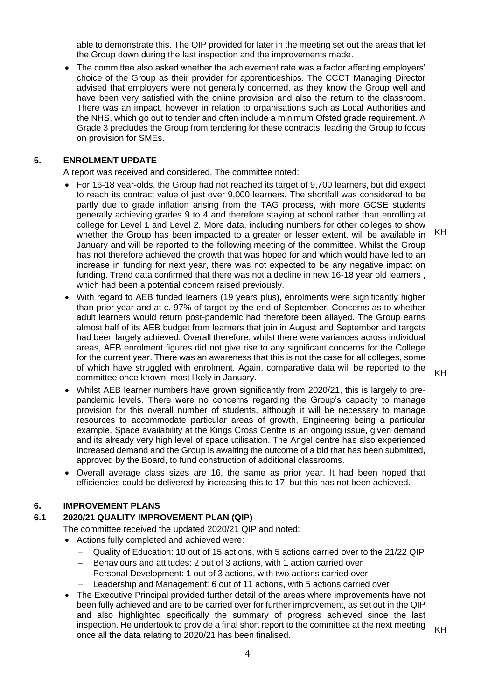able to demonstrate this. The QIP provided for later in the meeting set out the areas that let the Group down during the last inspection and the improvements made.

• The committee also asked whether the achievement rate was a factor affecting employers' choice of the Group as their provider for apprenticeships. The CCCT Managing Director advised that employers were not generally concerned, as they know the Group well and have been very satisfied with the online provision and also the return to the classroom. There was an impact, however in relation to organisations such as Local Authorities and the NHS, which go out to tender and often include a minimum Ofsted grade requirement. A Grade 3 precludes the Group from tendering for these contracts, leading the Group to focus on provision for SMEs.

## **5. ENROLMENT UPDATE**

A report was received and considered. The committee noted:

- For 16-18 year-olds, the Group had not reached its target of 9,700 learners, but did expect to reach its contract value of just over 9,000 learners. The shortfall was considered to be partly due to grade inflation arising from the TAG process, with more GCSE students generally achieving grades 9 to 4 and therefore staying at school rather than enrolling at college for Level 1 and Level 2. More data, including numbers for other colleges to show whether the Group has been impacted to a greater or lesser extent, will be available in January and will be reported to the following meeting of the committee. Whilst the Group has not therefore achieved the growth that was hoped for and which would have led to an increase in funding for next year, there was not expected to be any negative impact on funding. Trend data confirmed that there was not a decline in new 16-18 year old learners , which had been a potential concern raised previously. KH
- With regard to AEB funded learners (19 years plus), enrolments were significantly higher than prior year and at c. 97% of target by the end of September. Concerns as to whether adult learners would return post-pandemic had therefore been allayed. The Group earns almost half of its AEB budget from learners that join in August and September and targets had been largely achieved. Overall therefore, whilst there were variances across individual areas, AEB enrolment figures did not give rise to any significant concerns for the College for the current year. There was an awareness that this is not the case for all colleges, some of which have struggled with enrolment. Again, comparative data will be reported to the committee once known, most likely in January.

KH

- Whilst AEB learner numbers have grown significantly from 2020/21, this is largely to prepandemic levels. There were no concerns regarding the Group's capacity to manage provision for this overall number of students, although it will be necessary to manage resources to accommodate particular areas of growth, Engineering being a particular example. Space availability at the Kings Cross Centre is an ongoing issue, given demand and its already very high level of space utilisation. The Angel centre has also experienced increased demand and the Group is awaiting the outcome of a bid that has been submitted, approved by the Board, to fund construction of additional classrooms.
- Overall average class sizes are 16, the same as prior year. It had been hoped that efficiencies could be delivered by increasing this to 17, but this has not been achieved.

## **6. IMPROVEMENT PLANS**

## **6.1 2020/21 QUALITY IMPROVEMENT PLAN (QIP)**

The committee received the updated 2020/21 QIP and noted:

- Actions fully completed and achieved were:
	- − Quality of Education: 10 out of 15 actions, with 5 actions carried over to the 21/22 QIP
	- − Behaviours and attitudes: 2 out of 3 actions, with 1 action carried over
	- − Personal Development: 1 out of 3 actions, with two actions carried over
	- Leadership and Management: 6 out of 11 actions, with 5 actions carried over
- The Executive Principal provided further detail of the areas where improvements have not been fully achieved and are to be carried over for further improvement, as set out in the QIP and also highlighted specifically the summary of progress achieved since the last inspection. He undertook to provide a final short report to the committee at the next meeting Inspection. He underlook to provide a linal short report to the committee at the next meeting KH<br>once all the data relating to 2020/21 has been finalised.

4